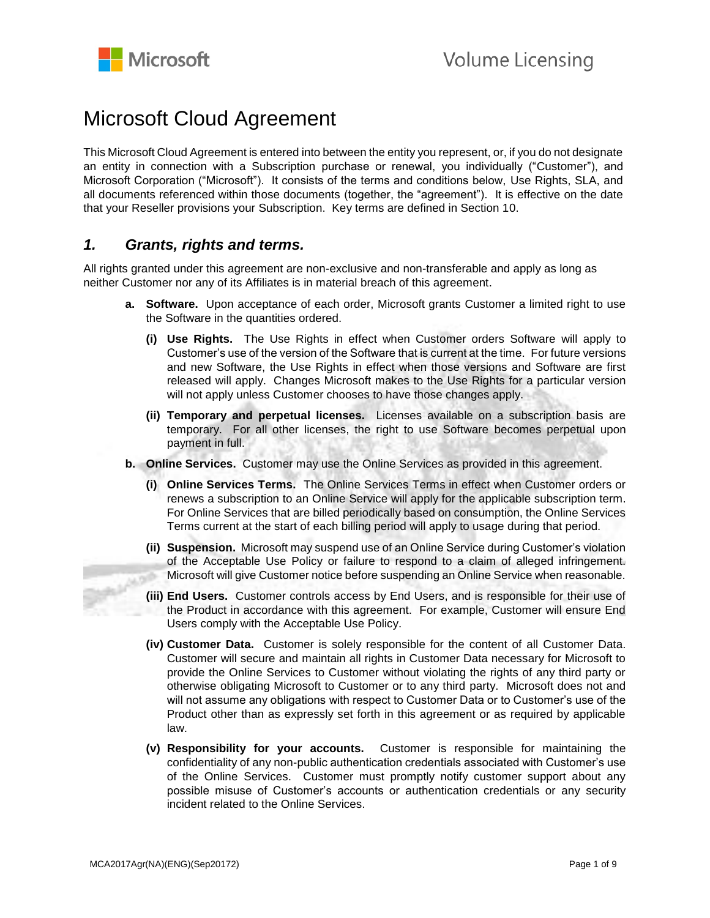

# Microsoft Cloud Agreement

This Microsoft Cloud Agreement is entered into between the entity you represent, or, if you do not designate an entity in connection with a Subscription purchase or renewal, you individually ("Customer"), and Microsoft Corporation ("Microsoft"). It consists of the terms and conditions below, Use Rights, SLA, and all documents referenced within those documents (together, the "agreement"). It is effective on the date that your Reseller provisions your Subscription. Key terms are defined in Section 10.

## *1. Grants, rights and terms.*

All rights granted under this agreement are non-exclusive and non-transferable and apply as long as neither Customer nor any of its Affiliates is in material breach of this agreement.

- **a. Software.** Upon acceptance of each order, Microsoft grants Customer a limited right to use the Software in the quantities ordered.
	- **(i) Use Rights.** The Use Rights in effect when Customer orders Software will apply to Customer's use of the version of the Software that is current at the time. For future versions and new Software, the Use Rights in effect when those versions and Software are first released will apply. Changes Microsoft makes to the Use Rights for a particular version will not apply unless Customer chooses to have those changes apply.
	- **(ii) Temporary and perpetual licenses.** Licenses available on a subscription basis are temporary. For all other licenses, the right to use Software becomes perpetual upon payment in full.
- **b. Online Services.** Customer may use the Online Services as provided in this agreement.
	- **(i) Online Services Terms.** The Online Services Terms in effect when Customer orders or renews a subscription to an Online Service will apply for the applicable subscription term. For Online Services that are billed periodically based on consumption, the Online Services Terms current at the start of each billing period will apply to usage during that period.
- **(ii) Suspension.** Microsoft may suspend use of an Online Service during Customer's violation of the Acceptable Use Policy or failure to respond to a claim of alleged infringement. Microsoft will give Customer notice before suspending an Online Service when reasonable. مورن
	- **(iii) End Users.** Customer controls access by End Users, and is responsible for their use of the Product in accordance with this agreement. For example, Customer will ensure End Users comply with the Acceptable Use Policy.
	- **(iv) Customer Data.** Customer is solely responsible for the content of all Customer Data. Customer will secure and maintain all rights in Customer Data necessary for Microsoft to provide the Online Services to Customer without violating the rights of any third party or otherwise obligating Microsoft to Customer or to any third party. Microsoft does not and will not assume any obligations with respect to Customer Data or to Customer's use of the Product other than as expressly set forth in this agreement or as required by applicable law.
	- **(v) Responsibility for your accounts.** Customer is responsible for maintaining the confidentiality of any non-public authentication credentials associated with Customer's use of the Online Services. Customer must promptly notify customer support about any possible misuse of Customer's accounts or authentication credentials or any security incident related to the Online Services.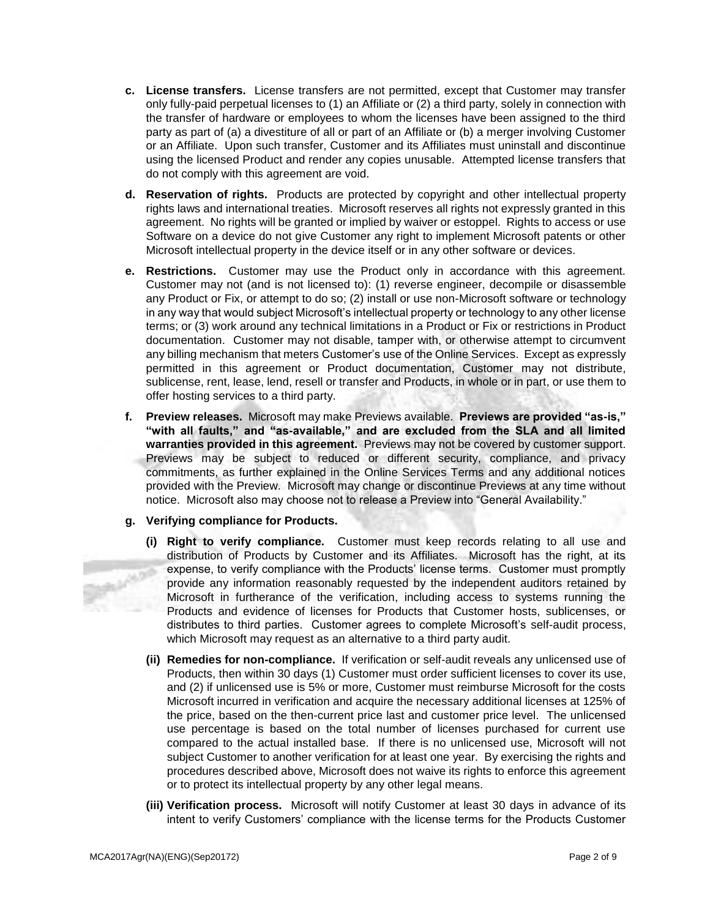- **c. License transfers.** License transfers are not permitted, except that Customer may transfer only fully-paid perpetual licenses to (1) an Affiliate or (2) a third party, solely in connection with the transfer of hardware or employees to whom the licenses have been assigned to the third party as part of (a) a divestiture of all or part of an Affiliate or (b) a merger involving Customer or an Affiliate. Upon such transfer, Customer and its Affiliates must uninstall and discontinue using the licensed Product and render any copies unusable. Attempted license transfers that do not comply with this agreement are void.
- **d. Reservation of rights.** Products are protected by copyright and other intellectual property rights laws and international treaties. Microsoft reserves all rights not expressly granted in this agreement. No rights will be granted or implied by waiver or estoppel. Rights to access or use Software on a device do not give Customer any right to implement Microsoft patents or other Microsoft intellectual property in the device itself or in any other software or devices.
- **e. Restrictions.** Customer may use the Product only in accordance with this agreement. Customer may not (and is not licensed to): (1) reverse engineer, decompile or disassemble any Product or Fix, or attempt to do so; (2) install or use non-Microsoft software or technology in any way that would subject Microsoft's intellectual property or technology to any other license terms; or (3) work around any technical limitations in a Product or Fix or restrictions in Product documentation. Customer may not disable, tamper with, or otherwise attempt to circumvent any billing mechanism that meters Customer's use of the Online Services. Except as expressly permitted in this agreement or Product documentation, Customer may not distribute, sublicense, rent, lease, lend, resell or transfer and Products, in whole or in part, or use them to offer hosting services to a third party.
- **f. Preview releases.** Microsoft may make Previews available. **Previews are provided "as-is," "with all faults," and "as-available," and are excluded from the SLA and all limited warranties provided in this agreement.** Previews may not be covered by customer support. Previews may be subject to reduced or different security, compliance, and privacy commitments, as further explained in the Online Services Terms and any additional notices provided with the Preview. Microsoft may change or discontinue Previews at any time without notice. Microsoft also may choose not to release a Preview into "General Availability."

## **g. Verifying compliance for Products.**

- **(i) Right to verify compliance.** Customer must keep records relating to all use and distribution of Products by Customer and its Affiliates. Microsoft has the right, at its expense, to verify compliance with the Products' license terms. Customer must promptly provide any information reasonably requested by the independent auditors retained by Microsoft in furtherance of the verification, including access to systems running the Products and evidence of licenses for Products that Customer hosts, sublicenses, or distributes to third parties. Customer agrees to complete Microsoft's self-audit process, which Microsoft may request as an alternative to a third party audit.
- **(ii) Remedies for non-compliance.** If verification or self-audit reveals any unlicensed use of Products, then within 30 days (1) Customer must order sufficient licenses to cover its use, and (2) if unlicensed use is 5% or more, Customer must reimburse Microsoft for the costs Microsoft incurred in verification and acquire the necessary additional licenses at 125% of the price, based on the then-current price last and customer price level. The unlicensed use percentage is based on the total number of licenses purchased for current use compared to the actual installed base. If there is no unlicensed use, Microsoft will not subject Customer to another verification for at least one year. By exercising the rights and procedures described above, Microsoft does not waive its rights to enforce this agreement or to protect its intellectual property by any other legal means.
- **(iii) Verification process.** Microsoft will notify Customer at least 30 days in advance of its intent to verify Customers' compliance with the license terms for the Products Customer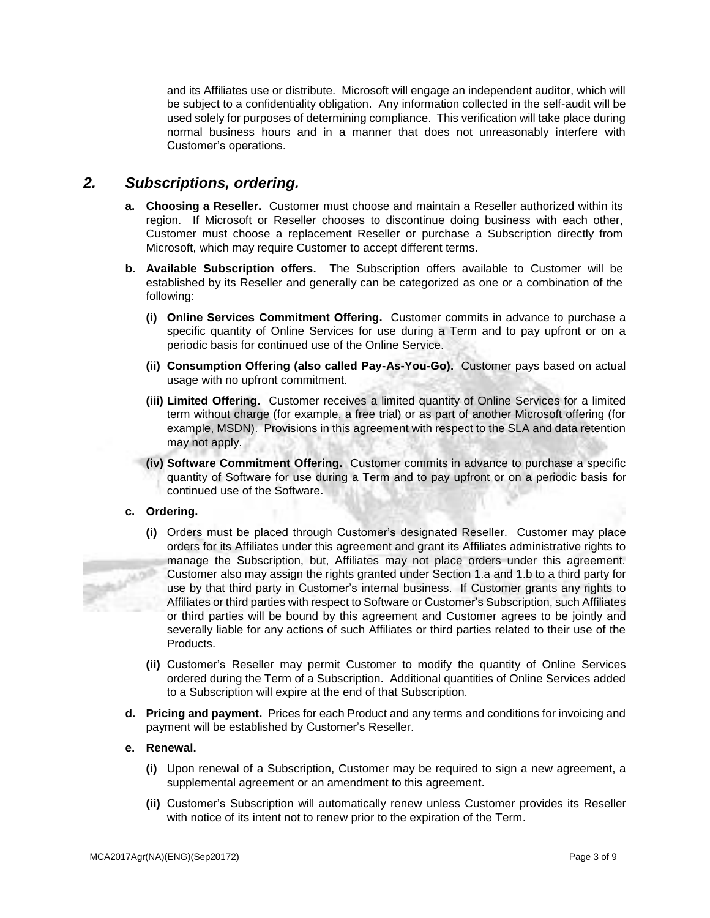and its Affiliates use or distribute. Microsoft will engage an independent auditor, which will be subject to a confidentiality obligation. Any information collected in the self-audit will be used solely for purposes of determining compliance. This verification will take place during normal business hours and in a manner that does not unreasonably interfere with Customer's operations.

# *2. Subscriptions, ordering.*

- **a. Choosing a Reseller.** Customer must choose and maintain a Reseller authorized within its region. If Microsoft or Reseller chooses to discontinue doing business with each other, Customer must choose a replacement Reseller or purchase a Subscription directly from Microsoft, which may require Customer to accept different terms.
- **b. Available Subscription offers.** The Subscription offers available to Customer will be established by its Reseller and generally can be categorized as one or a combination of the following:
	- **(i) Online Services Commitment Offering.** Customer commits in advance to purchase a specific quantity of Online Services for use during a Term and to pay upfront or on a periodic basis for continued use of the Online Service.
	- **(ii) Consumption Offering (also called Pay-As-You-Go).** Customer pays based on actual usage with no upfront commitment.
	- **(iii) Limited Offering.** Customer receives a limited quantity of Online Services for a limited term without charge (for example, a free trial) or as part of another Microsoft offering (for example, MSDN). Provisions in this agreement with respect to the SLA and data retention may not apply.
	- **(iv) Software Commitment Offering.** Customer commits in advance to purchase a specific quantity of Software for use during a Term and to pay upfront or on a periodic basis for continued use of the Software.

## **c. Ordering.**

- **(i)** Orders must be placed through Customer's designated Reseller. Customer may place orders for its Affiliates under this agreement and grant its Affiliates administrative rights to manage the Subscription, but, Affiliates may not place orders under this agreement. Customer also may assign the rights granted under Section 1.a and 1.b to a third party for use by that third party in Customer's internal business. If Customer grants any rights to Affiliates or third parties with respect to Software or Customer's Subscription, such Affiliates or third parties will be bound by this agreement and Customer agrees to be jointly and severally liable for any actions of such Affiliates or third parties related to their use of the Products.
- **(ii)** Customer's Reseller may permit Customer to modify the quantity of Online Services ordered during the Term of a Subscription. Additional quantities of Online Services added to a Subscription will expire at the end of that Subscription.
- **d. Pricing and payment.** Prices for each Product and any terms and conditions for invoicing and payment will be established by Customer's Reseller.

## **e. Renewal.**

- **(i)** Upon renewal of a Subscription, Customer may be required to sign a new agreement, a supplemental agreement or an amendment to this agreement.
- **(ii)** Customer's Subscription will automatically renew unless Customer provides its Reseller with notice of its intent not to renew prior to the expiration of the Term.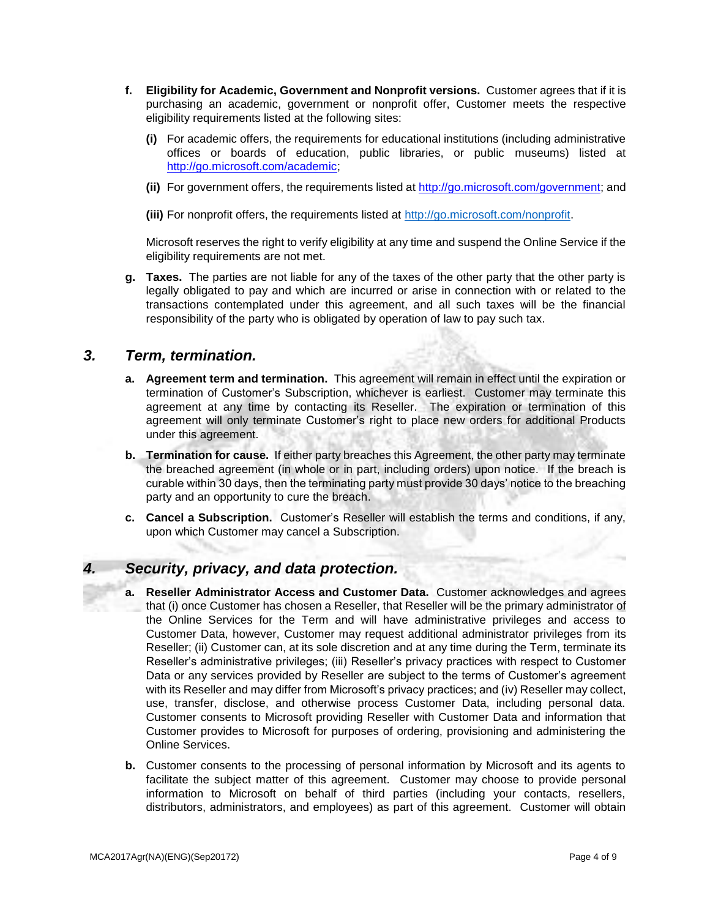- **f. Eligibility for Academic, Government and Nonprofit versions.** Customer agrees that if it is purchasing an academic, government or nonprofit offer, Customer meets the respective eligibility requirements listed at the following sites:
	- **(i)** For academic offers, the requirements for educational institutions (including administrative offices or boards of education, public libraries, or public museums) listed at [http://go.microsoft.com/academic;](http://www.microsoftvolumelicensing.com/DocumentSearch.aspx?Mode=3&DocumentTypeID=7)
	- **(ii)** For government offers, the requirements listed at [http://go.microsoft.com/government;](http://www.microsoftvolumelicensing.com/DocumentSearch.aspx?Mode=3&DocumentTypeID=6) and

**(iii)** For nonprofit offers, the requirements listed at [http://go.microsoft.com/nonprofit](http://www.microsoft.com/about/corporatecitizenship/en-us/nonprofits/whos-eligible/)[.](http://www.microsoftvolumelicensing.com/userights/DocumentSearch.aspx?Mode=3&DocumentTypeId=19) 

Microsoft reserves the right to verify eligibility at any time and suspend the Online Service if the eligibility requirements are not met.

**g. Taxes.** The parties are not liable for any of the taxes of the other party that the other party is legally obligated to pay and which are incurred or arise in connection with or related to the transactions contemplated under this agreement, and all such taxes will be the financial responsibility of the party who is obligated by operation of law to pay such tax.

## *3. Term, termination.*

- **a. Agreement term and termination.** This agreement will remain in effect until the expiration or termination of Customer's Subscription, whichever is earliest. Customer may terminate this agreement at any time by contacting its Reseller. The expiration or termination of this agreement will only terminate Customer's right to place new orders for additional Products under this agreement.
- **b. Termination for cause.** If either party breaches this Agreement, the other party may terminate the breached agreement (in whole or in part, including orders) upon notice. If the breach is curable within 30 days, then the terminating party must provide 30 days' notice to the breaching party and an opportunity to cure the breach.
- **c. Cancel a Subscription.** Customer's Reseller will establish the terms and conditions, if any, upon which Customer may cancel a Subscription.

# *4. Security, privacy, and data protection.*

- **a. Reseller Administrator Access and Customer Data.** Customer acknowledges and agrees that (i) once Customer has chosen a Reseller, that Reseller will be the primary administrator of the Online Services for the Term and will have administrative privileges and access to Customer Data, however, Customer may request additional administrator privileges from its Reseller; (ii) Customer can, at its sole discretion and at any time during the Term, terminate its Reseller's administrative privileges; (iii) Reseller's privacy practices with respect to Customer Data or any services provided by Reseller are subject to the terms of Customer's agreement with its Reseller and may differ from Microsoft's privacy practices; and (iv) Reseller may collect, use, transfer, disclose, and otherwise process Customer Data, including personal data. Customer consents to Microsoft providing Reseller with Customer Data and information that Customer provides to Microsoft for purposes of ordering, provisioning and administering the Online Services.
- **b.** Customer consents to the processing of personal information by Microsoft and its agents to facilitate the subject matter of this agreement. Customer may choose to provide personal information to Microsoft on behalf of third parties (including your contacts, resellers, distributors, administrators, and employees) as part of this agreement. Customer will obtain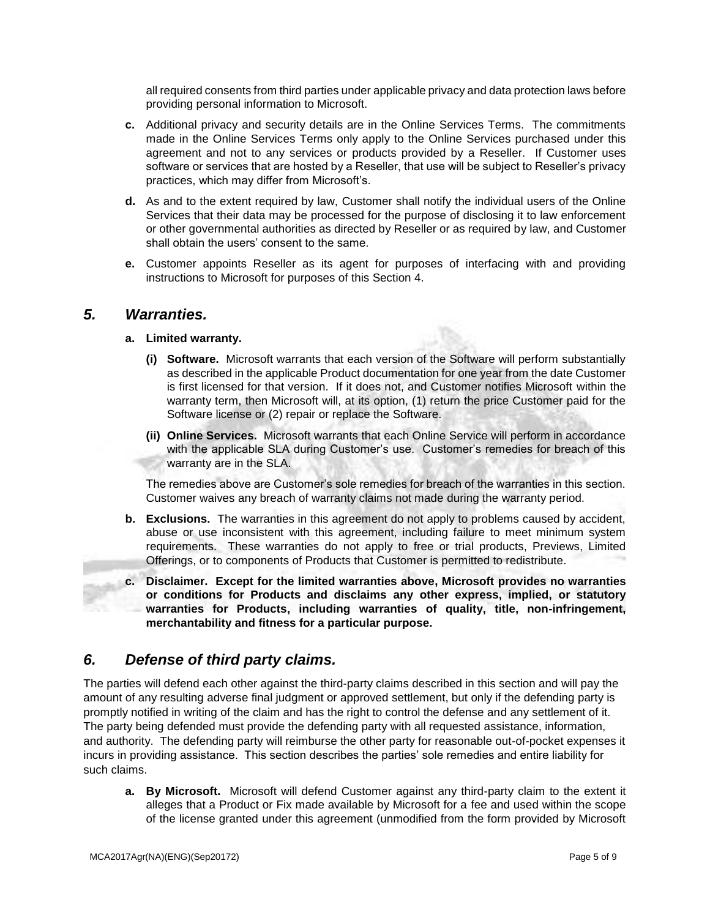all required consents from third parties under applicable privacy and data protection laws before providing personal information to Microsoft.

- **c.** Additional privacy and security details are in the Online Services Terms. The commitments made in the Online Services Terms only apply to the Online Services purchased under this agreement and not to any services or products provided by a Reseller. If Customer uses software or services that are hosted by a Reseller, that use will be subject to Reseller's privacy practices, which may differ from Microsoft's.
- **d.** As and to the extent required by law, Customer shall notify the individual users of the Online Services that their data may be processed for the purpose of disclosing it to law enforcement or other governmental authorities as directed by Reseller or as required by law, and Customer shall obtain the users' consent to the same.
- **e.** Customer appoints Reseller as its agent for purposes of interfacing with and providing instructions to Microsoft for purposes of this Section 4.

## *5. Warranties.*

## **a. Limited warranty.**

- **(i) Software.** Microsoft warrants that each version of the Software will perform substantially as described in the applicable Product documentation for one year from the date Customer is first licensed for that version. If it does not, and Customer notifies Microsoft within the warranty term, then Microsoft will, at its option, (1) return the price Customer paid for the Software license or (2) repair or replace the Software.
- **(ii) Online Services.** Microsoft warrants that each Online Service will perform in accordance with the applicable SLA during Customer's use. Customer's remedies for breach of this warranty are in the SLA.

The remedies above are Customer's sole remedies for breach of the warranties in this section. Customer waives any breach of warranty claims not made during the warranty period.

- **b. Exclusions.** The warranties in this agreement do not apply to problems caused by accident, abuse or use inconsistent with this agreement, including failure to meet minimum system requirements. These warranties do not apply to free or trial products, Previews, Limited Offerings, or to components of Products that Customer is permitted to redistribute.
- **c. Disclaimer. Except for the limited warranties above, Microsoft provides no warranties or conditions for Products and disclaims any other express, implied, or statutory warranties for Products, including warranties of quality, title, non-infringement, merchantability and fitness for a particular purpose.**

# *6. Defense of third party claims.*

The parties will defend each other against the third-party claims described in this section and will pay the amount of any resulting adverse final judgment or approved settlement, but only if the defending party is promptly notified in writing of the claim and has the right to control the defense and any settlement of it. The party being defended must provide the defending party with all requested assistance, information, and authority. The defending party will reimburse the other party for reasonable out-of-pocket expenses it incurs in providing assistance. This section describes the parties' sole remedies and entire liability for such claims.

**a. By Microsoft.** Microsoft will defend Customer against any third-party claim to the extent it alleges that a Product or Fix made available by Microsoft for a fee and used within the scope of the license granted under this agreement (unmodified from the form provided by Microsoft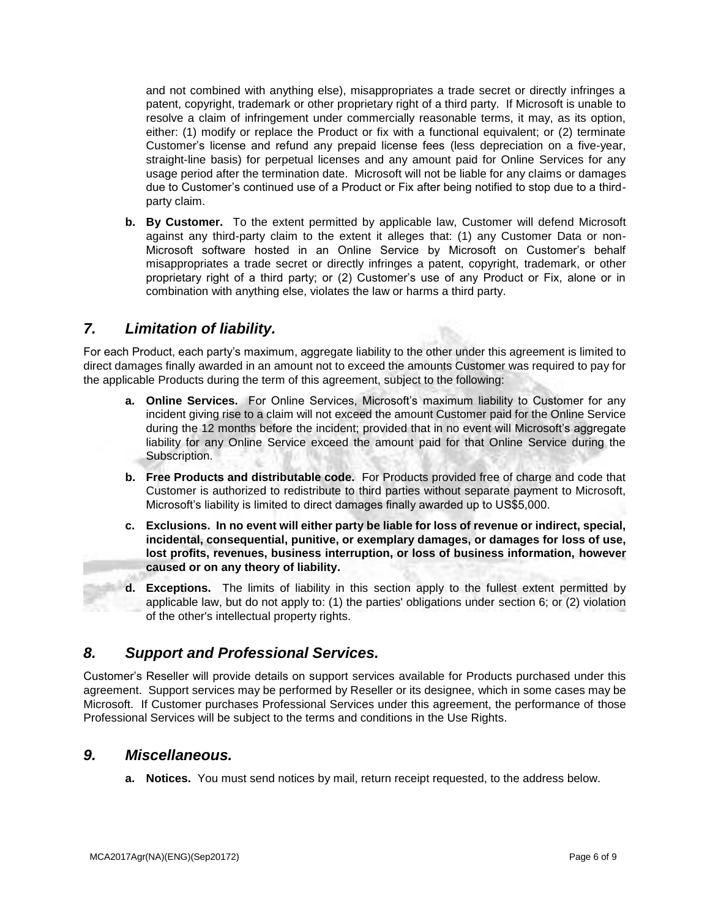and not combined with anything else), misappropriates a trade secret or directly infringes a patent, copyright, trademark or other proprietary right of a third party. If Microsoft is unable to resolve a claim of infringement under commercially reasonable terms, it may, as its option, either: (1) modify or replace the Product or fix with a functional equivalent; or (2) terminate Customer's license and refund any prepaid license fees (less depreciation on a five-year, straight-line basis) for perpetual licenses and any amount paid for Online Services for any usage period after the termination date. Microsoft will not be liable for any claims or damages due to Customer's continued use of a Product or Fix after being notified to stop due to a thirdparty claim.

**b. By Customer.** To the extent permitted by applicable law, Customer will defend Microsoft against any third-party claim to the extent it alleges that: (1) any Customer Data or non-Microsoft software hosted in an Online Service by Microsoft on Customer's behalf misappropriates a trade secret or directly infringes a patent, copyright, trademark, or other proprietary right of a third party; or (2) Customer's use of any Product or Fix, alone or in combination with anything else, violates the law or harms a third party.

# *7. Limitation of liability.*

For each Product, each party's maximum, aggregate liability to the other under this agreement is limited to direct damages finally awarded in an amount not to exceed the amounts Customer was required to pay for the applicable Products during the term of this agreement, subject to the following:

- **a. Online Services.** For Online Services, Microsoft's maximum liability to Customer for any incident giving rise to a claim will not exceed the amount Customer paid for the Online Service during the 12 months before the incident; provided that in no event will Microsoft's aggregate liability for any Online Service exceed the amount paid for that Online Service during the Subscription.
- **b. Free Products and distributable code.** For Products provided free of charge and code that Customer is authorized to redistribute to third parties without separate payment to Microsoft, Microsoft's liability is limited to direct damages finally awarded up to US\$5,000.
- **c. Exclusions. In no event will either party be liable for loss of revenue or indirect, special, incidental, consequential, punitive, or exemplary damages, or damages for loss of use, lost profits, revenues, business interruption, or loss of business information, however caused or on any theory of liability.**
- **d. Exceptions.** The limits of liability in this section apply to the fullest extent permitted by applicable law, but do not apply to: (1) the parties' obligations under section 6; or (2) violation of the other's intellectual property rights.

# *8. Support and Professional Services.*

Customer's Reseller will provide details on support services available for Products purchased under this agreement. Support services may be performed by Reseller or its designee, which in some cases may be Microsoft. If Customer purchases Professional Services under this agreement, the performance of those Professional Services will be subject to the terms and conditions in the Use Rights.

# *9. Miscellaneous.*

**a. Notices.** You must send notices by mail, return receipt requested, to the address below.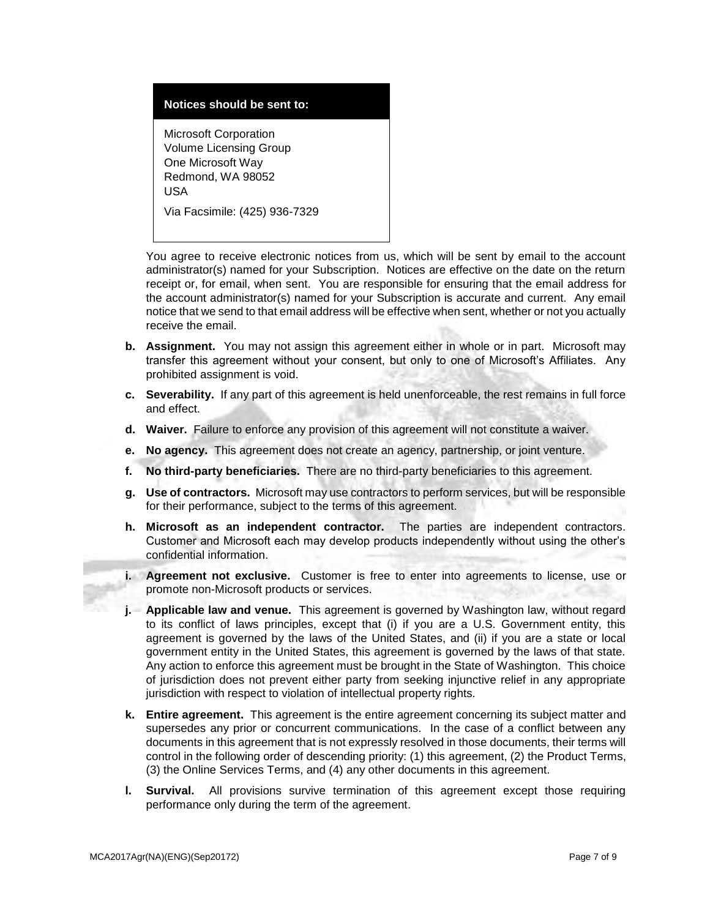## **Notices should be sent to:**

Microsoft Corporation Volume Licensing Group One Microsoft Way Redmond, WA 98052 USA Via Facsimile: (425) 936-7329

You agree to receive electronic notices from us, which will be sent by email to the account administrator(s) named for your Subscription. Notices are effective on the date on the return receipt or, for email, when sent. You are responsible for ensuring that the email address for the account administrator(s) named for your Subscription is accurate and current. Any email notice that we send to that email address will be effective when sent, whether or not you actually receive the email.

- **b. Assignment.** You may not assign this agreement either in whole or in part. Microsoft may transfer this agreement without your consent, but only to one of Microsoft's Affiliates. Any prohibited assignment is void.
- **c. Severability.** If any part of this agreement is held unenforceable, the rest remains in full force and effect.
- **d. Waiver.** Failure to enforce any provision of this agreement will not constitute a waiver.
- **e. No agency.** This agreement does not create an agency, partnership, or joint venture.
- **f. No third-party beneficiaries.** There are no third-party beneficiaries to this agreement.
- **g. Use of contractors.** Microsoft may use contractors to perform services, but will be responsible for their performance, subject to the terms of this agreement.
- **h. Microsoft as an independent contractor.** The parties are independent contractors. Customer and Microsoft each may develop products independently without using the other's confidential information.
- **i. Agreement not exclusive.** Customer is free to enter into agreements to license, use or promote non-Microsoft products or services.
- **j. Applicable law and venue.** This agreement is governed by Washington law, without regard to its conflict of laws principles, except that (i) if you are a U.S. Government entity, this agreement is governed by the laws of the United States, and (ii) if you are a state or local government entity in the United States, this agreement is governed by the laws of that state. Any action to enforce this agreement must be brought in the State of Washington. This choice of jurisdiction does not prevent either party from seeking injunctive relief in any appropriate jurisdiction with respect to violation of intellectual property rights.
- **k. Entire agreement.** This agreement is the entire agreement concerning its subject matter and supersedes any prior or concurrent communications. In the case of a conflict between any documents in this agreement that is not expressly resolved in those documents, their terms will control in the following order of descending priority: (1) this agreement, (2) the Product Terms, (3) the Online Services Terms, and (4) any other documents in this agreement.
- **l. Survival.** All provisions survive termination of this agreement except those requiring performance only during the term of the agreement.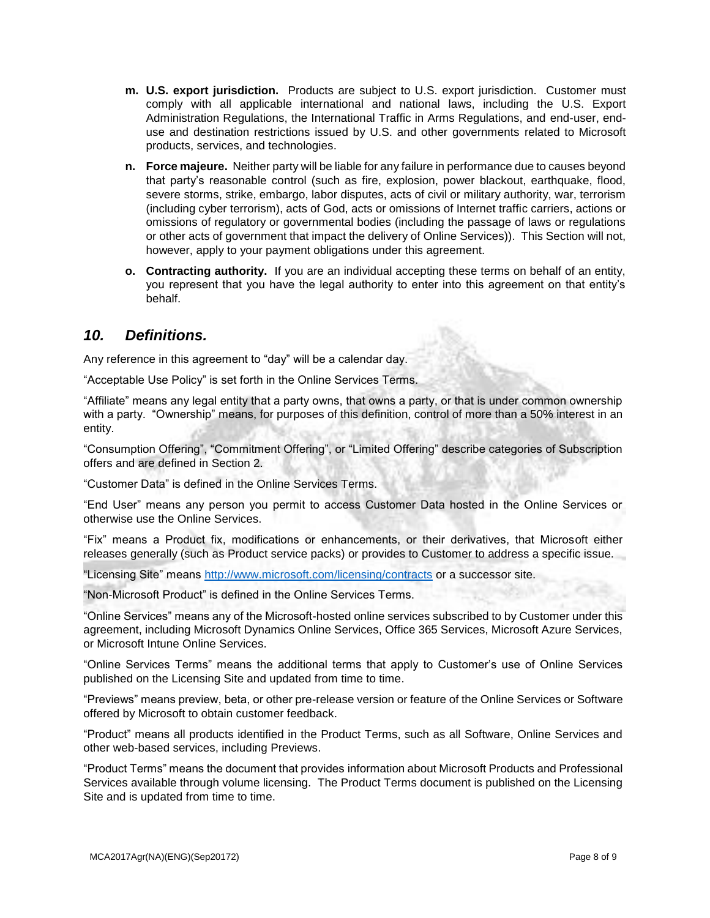- **m. U.S. export jurisdiction.** Products are subject to U.S. export jurisdiction. Customer must comply with all applicable international and national laws, including the U.S. Export Administration Regulations, the International Traffic in Arms Regulations, and end-user, enduse and destination restrictions issued by U.S. and other governments related to Microsoft products, services, and technologies.
- **n. Force majeure.** Neither party will be liable for any failure in performance due to causes beyond that party's reasonable control (such as fire, explosion, power blackout, earthquake, flood, severe storms, strike, embargo, labor disputes, acts of civil or military authority, war, terrorism (including cyber terrorism), acts of God, acts or omissions of Internet traffic carriers, actions or omissions of regulatory or governmental bodies (including the passage of laws or regulations or other acts of government that impact the delivery of Online Services)). This Section will not, however, apply to your payment obligations under this agreement.
- **o. Contracting authority.** If you are an individual accepting these terms on behalf of an entity, you represent that you have the legal authority to enter into this agreement on that entity's behalf.

# *10. Definitions.*

Any reference in this agreement to "day" will be a calendar day.

"Acceptable Use Policy" is set forth in the Online Services Terms.

"Affiliate" means any legal entity that a party owns, that owns a party, or that is under common ownership with a party. "Ownership" means, for purposes of this definition, control of more than a 50% interest in an entity.

"Consumption Offering", "Commitment Offering", or "Limited Offering" describe categories of Subscription offers and are defined in Section 2.

"Customer Data" is defined in the Online Services Terms.

"End User" means any person you permit to access Customer Data hosted in the Online Services or otherwise use the Online Services.

"Fix" means a Product fix, modifications or enhancements, or their derivatives, that Microsoft either releases generally (such as Product service packs) or provides to Customer to address a specific issue.

"Licensing Site" means<http://www.microsoft.com/licensing/contracts> or a successor site.

"Non-Microsoft Product" is defined in the Online Services Terms.

"Online Services" means any of the Microsoft-hosted online services subscribed to by Customer under this agreement, including Microsoft Dynamics Online Services, Office 365 Services, Microsoft Azure Services, or Microsoft Intune Online Services.

"Online Services Terms" means the additional terms that apply to Customer's use of Online Services published on the Licensing Site and updated from time to time.

"Previews" means preview, beta, or other pre-release version or feature of the Online Services or Software offered by Microsoft to obtain customer feedback.

"Product" means all products identified in the Product Terms, such as all Software, Online Services and other web-based services, including Previews.

"Product Terms" means the document that provides information about Microsoft Products and Professional Services available through volume licensing. The Product Terms document is published on the Licensing Site and is updated from time to time.